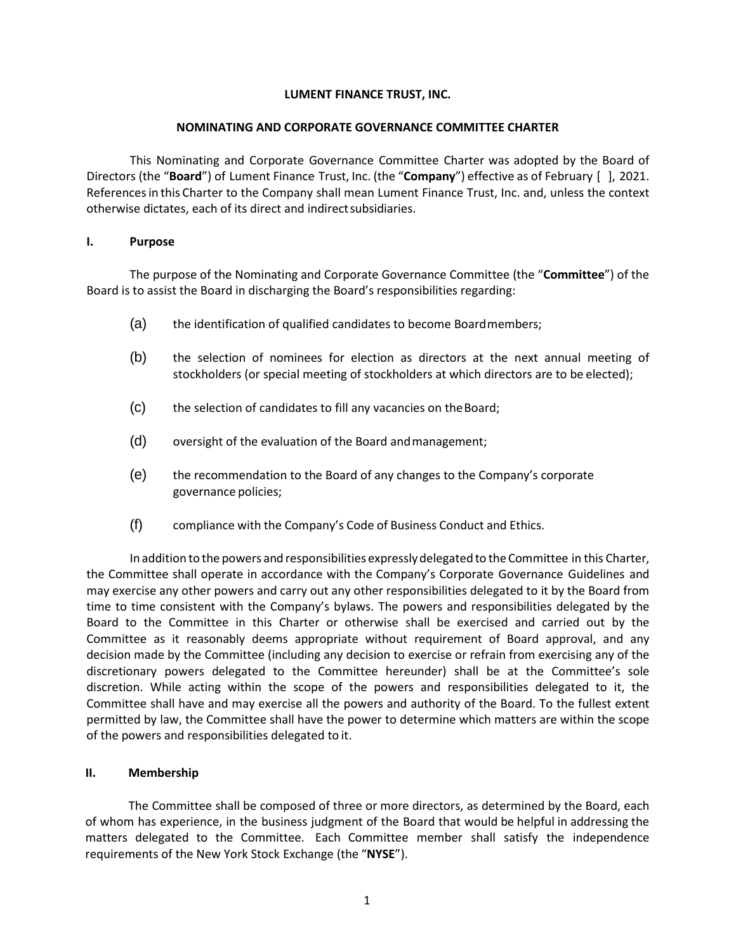## **LUMENT FINANCE TRUST, INC.**

#### **NOMINATING AND CORPORATE GOVERNANCE COMMITTEE CHARTER**

This Nominating and Corporate Governance Committee Charter was adopted by the Board of Directors (the "**Board**") of Lument Finance Trust, Inc. (the "**Company**") effective as of February [ ], 2021. Referencesin this Charter to the Company shall mean Lument Finance Trust, Inc. and, unless the context otherwise dictates, each of its direct and indirectsubsidiaries.

#### **I. Purpose**

The purpose of the Nominating and Corporate Governance Committee (the "**Committee**") of the Board is to assist the Board in discharging the Board's responsibilities regarding:

- (a) the identification of qualified candidates to become Boardmembers;
- (b) the selection of nominees for election as directors at the next annual meeting of stockholders (or special meeting of stockholders at which directors are to be elected);
- (c) the selection of candidates to fill any vacancies on theBoard;
- (d) oversight of the evaluation of the Board andmanagement;
- (e) the recommendation to the Board of any changes to the Company's corporate governance policies;
- (f) compliance with the Company's Code of Business Conduct and Ethics.

In addition to the powers and responsibilities expresslydelegated to the Committee in this Charter, the Committee shall operate in accordance with the Company's Corporate Governance Guidelines and may exercise any other powers and carry out any other responsibilities delegated to it by the Board from time to time consistent with the Company's bylaws. The powers and responsibilities delegated by the Board to the Committee in this Charter or otherwise shall be exercised and carried out by the Committee as it reasonably deems appropriate without requirement of Board approval, and any decision made by the Committee (including any decision to exercise or refrain from exercising any of the discretionary powers delegated to the Committee hereunder) shall be at the Committee's sole discretion. While acting within the scope of the powers and responsibilities delegated to it, the Committee shall have and may exercise all the powers and authority of the Board. To the fullest extent permitted by law, the Committee shall have the power to determine which matters are within the scope of the powers and responsibilities delegated to it.

## **II. Membership**

The Committee shall be composed of three or more directors, as determined by the Board, each of whom has experience, in the business judgment of the Board that would be helpful in addressing the matters delegated to the Committee. Each Committee member shall satisfy the independence requirements of the New York Stock Exchange (the "**NYSE**").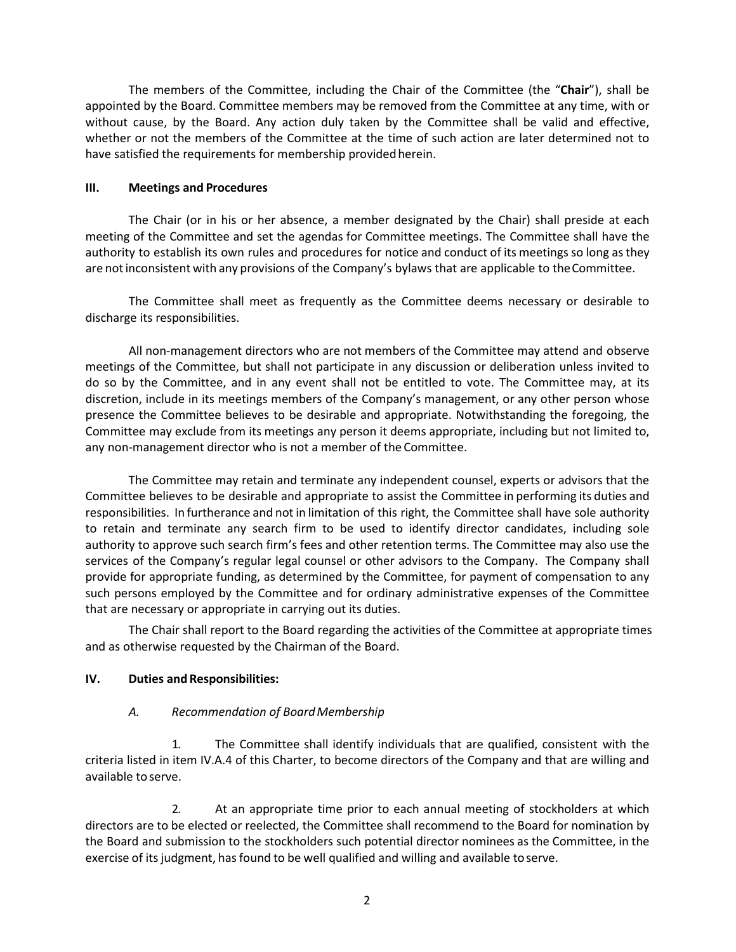The members of the Committee, including the Chair of the Committee (the "**Chair**"), shall be appointed by the Board. Committee members may be removed from the Committee at any time, with or without cause, by the Board. Any action duly taken by the Committee shall be valid and effective, whether or not the members of the Committee at the time of such action are later determined not to have satisfied the requirements for membership provided herein.

#### **III. Meetings and Procedures**

The Chair (or in his or her absence, a member designated by the Chair) shall preside at each meeting of the Committee and set the agendas for Committee meetings. The Committee shall have the authority to establish its own rules and procedures for notice and conduct of its meetings so long asthey are notinconsistent with any provisions of the Company's bylaws that are applicable to theCommittee.

The Committee shall meet as frequently as the Committee deems necessary or desirable to discharge its responsibilities.

All non-management directors who are not members of the Committee may attend and observe meetings of the Committee, but shall not participate in any discussion or deliberation unless invited to do so by the Committee, and in any event shall not be entitled to vote. The Committee may, at its discretion, include in its meetings members of the Company's management, or any other person whose presence the Committee believes to be desirable and appropriate. Notwithstanding the foregoing, the Committee may exclude from its meetings any person it deems appropriate, including but not limited to, any non-management director who is not a member of the Committee.

The Committee may retain and terminate any independent counsel, experts or advisors that the Committee believes to be desirable and appropriate to assist the Committee in performing its duties and responsibilities. In furtherance and not in limitation of this right, the Committee shall have sole authority to retain and terminate any search firm to be used to identify director candidates, including sole authority to approve such search firm's fees and other retention terms. The Committee may also use the services of the Company's regular legal counsel or other advisors to the Company. The Company shall provide for appropriate funding, as determined by the Committee, for payment of compensation to any such persons employed by the Committee and for ordinary administrative expenses of the Committee that are necessary or appropriate in carrying out its duties.

The Chair shall report to the Board regarding the activities of the Committee at appropriate times and as otherwise requested by the Chairman of the Board.

## **IV. Duties and Responsibilities:**

## *A. Recommendation of BoardMembership*

1. The Committee shall identify individuals that are qualified, consistent with the criteria listed in item IV.A.4 of this Charter, to become directors of the Company and that are willing and available to serve.

2. At an appropriate time prior to each annual meeting of stockholders at which directors are to be elected or reelected, the Committee shall recommend to the Board for nomination by the Board and submission to the stockholders such potential director nominees as the Committee, in the exercise of its judgment, has found to be well qualified and willing and available to serve.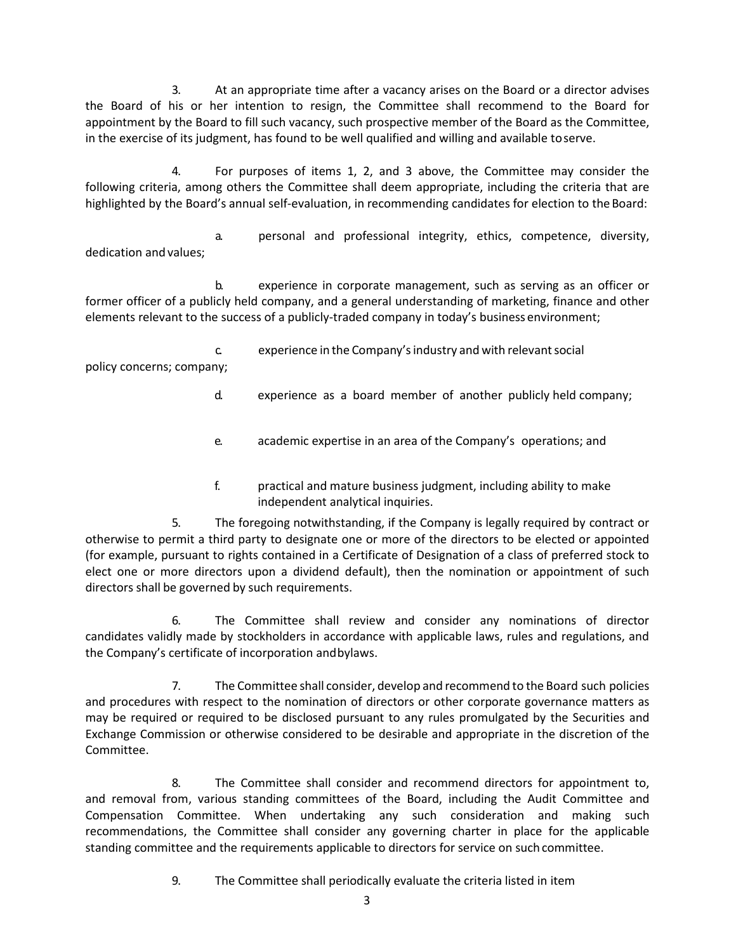3. At an appropriate time after a vacancy arises on the Board or a director advises the Board of his or her intention to resign, the Committee shall recommend to the Board for appointment by the Board to fill such vacancy, such prospective member of the Board as the Committee, in the exercise of its judgment, has found to be well qualified and willing and available toserve.

4. For purposes of items 1, 2, and 3 above, the Committee may consider the following criteria, among others the Committee shall deem appropriate, including the criteria that are highlighted by the Board's annual self-evaluation, in recommending candidates for election to the Board:

a. personal and professional integrity, ethics, competence, diversity, dedication and values;

b. experience in corporate management, such as serving as an officer or former officer of a publicly held company, and a general understanding of marketing, finance and other elements relevant to the success of a publicly-traded company in today's business environment;

c. experience in the Company'sindustry and with relevantsocial policy concerns; company;

- d. experience as a board member of another publicly held company;
- e. academic expertise in an area of the Company's operations; and
- f. practical and mature business judgment, including ability to make independent analytical inquiries.

5. The foregoing notwithstanding, if the Company is legally required by contract or otherwise to permit a third party to designate one or more of the directors to be elected or appointed (for example, pursuant to rights contained in a Certificate of Designation of a class of preferred stock to elect one or more directors upon a dividend default), then the nomination or appointment of such directors shall be governed by such requirements.

6. The Committee shall review and consider any nominations of director candidates validly made by stockholders in accordance with applicable laws, rules and regulations, and the Company's certificate of incorporation andbylaws.

7. The Committee shall consider, develop and recommend to the Board such policies and procedures with respect to the nomination of directors or other corporate governance matters as may be required or required to be disclosed pursuant to any rules promulgated by the Securities and Exchange Commission or otherwise considered to be desirable and appropriate in the discretion of the Committee.

8. The Committee shall consider and recommend directors for appointment to, and removal from, various standing committees of the Board, including the Audit Committee and Compensation Committee. When undertaking any such consideration and making such recommendations, the Committee shall consider any governing charter in place for the applicable standing committee and the requirements applicable to directors for service on such committee.

9. The Committee shall periodically evaluate the criteria listed in item

3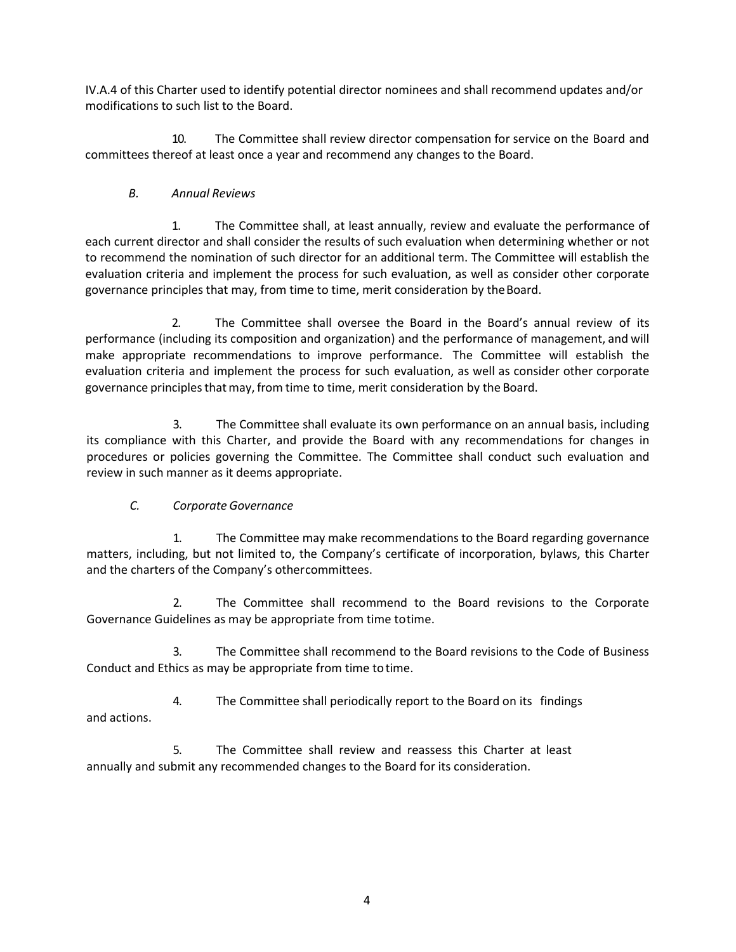IV.A.4 of this Charter used to identify potential director nominees and shall recommend updates and/or modifications to such list to the Board.

10. The Committee shall review director compensation for service on the Board and committees thereof at least once a year and recommend any changes to the Board.

## *B. Annual Reviews*

1. The Committee shall, at least annually, review and evaluate the performance of each current director and shall consider the results of such evaluation when determining whether or not to recommend the nomination of such director for an additional term. The Committee will establish the evaluation criteria and implement the process for such evaluation, as well as consider other corporate governance principles that may, from time to time, merit consideration by the Board.

2. The Committee shall oversee the Board in the Board's annual review of its performance (including its composition and organization) and the performance of management, and will make appropriate recommendations to improve performance. The Committee will establish the evaluation criteria and implement the process for such evaluation, as well as consider other corporate governance principlesthatmay,from time to time, merit consideration by the Board.

3. The Committee shall evaluate its own performance on an annual basis, including its compliance with this Charter, and provide the Board with any recommendations for changes in procedures or policies governing the Committee. The Committee shall conduct such evaluation and review in such manner as it deems appropriate.

# *C. Corporate Governance*

1. The Committee may make recommendations to the Board regarding governance matters, including, but not limited to, the Company's certificate of incorporation, bylaws, this Charter and the charters of the Company's othercommittees.

2. The Committee shall recommend to the Board revisions to the Corporate Governance Guidelines as may be appropriate from time totime.

3. The Committee shall recommend to the Board revisions to the Code of Business Conduct and Ethics as may be appropriate from time totime.

4. The Committee shall periodically report to the Board on its findings and actions.

5. The Committee shall review and reassess this Charter at least annually and submit any recommended changes to the Board for its consideration.